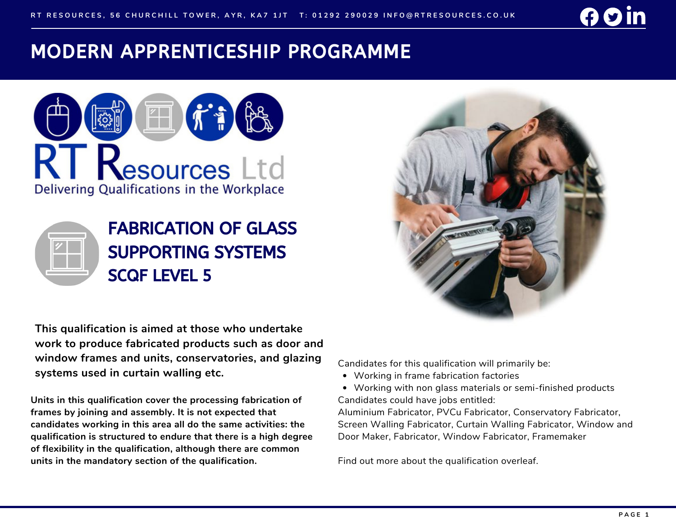## MODERN APPRENTICESHIP PROGRAMME





**This qualification is aimed at those who undertake work to produce fabricated products such as door and window frames and units, conservatories, and glazing systems used in curtain walling etc.**

**Units in this qualification cover the processing fabrication of frames by joining and assembly. It is not expected that candidates working in this area all do the same activities: the qualification is structured to endure that there is a high degree of flexibility in the qualification, although there are common units in the mandatory section of the qualification.**



Candidates for this qualification will primarily be:

- Working in frame fabrication factories
- Working with non glass materials or semi-finished products Candidates could have jobs entitled:

Aluminium Fabricator, PVCu Fabricator, Conservatory Fabricator, Screen Walling Fabricator, Curtain Walling Fabricator, Window and Door Maker, Fabricator, Window Fabricator, Framemaker

Find out more about the qualification overleaf.